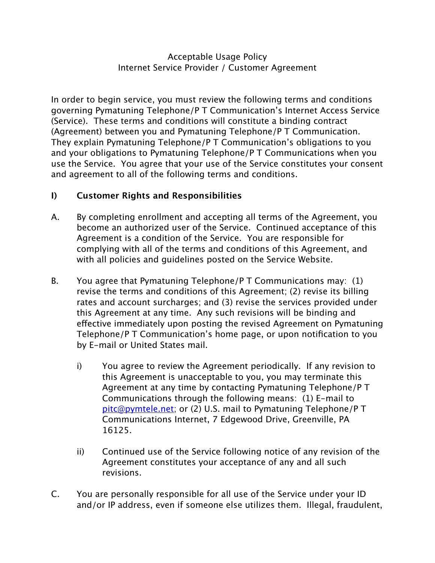## Acceptable Usage Policy Internet Service Provider / Customer Agreement

In order to begin service, you must review the following terms and conditions governing Pymatuning Telephone/P T Communication's Internet Access Service (Service). These terms and conditions will constitute a binding contract (Agreement) between you and Pymatuning Telephone/P T Communication. They explain Pymatuning Telephone/P T Communication's obligations to you and your obligations to Pymatuning Telephone/P T Communications when you use the Service. You agree that your use of the Service constitutes your consent and agreement to all of the following terms and conditions.

## **I) Customer Rights and Responsibilities**

- A. By completing enrollment and accepting all terms of the Agreement, you become an authorized user of the Service. Continued acceptance of this Agreement is a condition of the Service. You are responsible for complying with all of the terms and conditions of this Agreement, and with all policies and guidelines posted on the Service Website.
- B. You agree that Pymatuning Telephone/P T Communications may: (1) revise the terms and conditions of this Agreement; (2) revise its billing rates and account surcharges; and (3) revise the services provided under this Agreement at any time. Any such revisions will be binding and effective immediately upon posting the revised Agreement on Pymatuning Telephone/P T Communication's home page, or upon notification to you by E-mail or United States mail.
	- i) You agree to review the Agreement periodically. If any revision to this Agreement is unacceptable to you, you may terminate this Agreement at any time by contacting Pymatuning Telephone/P T Communications through the following means: (1) E-mail to [pitc@pymtele.net;](mailto:pitc@pymtele.net) or (2) U.S. mail to Pymatuning Telephone/P T Communications Internet, 7 Edgewood Drive, Greenville, PA 16125.
	- ii) Continued use of the Service following notice of any revision of the Agreement constitutes your acceptance of any and all such revisions.
- C. You are personally responsible for all use of the Service under your ID and/or IP address, even if someone else utilizes them. Illegal, fraudulent,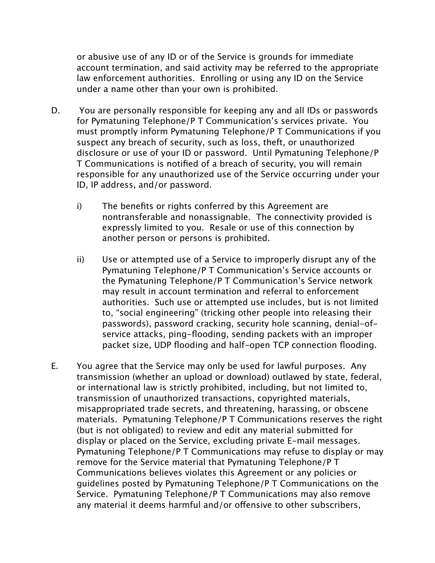or abusive use of any ID or of the Service is grounds for immediate account termination, and said activity may be referred to the appropriate law enforcement authorities. Enrolling or using any ID on the Service under a name other than your own is prohibited.

- D. You are personally responsible for keeping any and all IDs or passwords for Pymatuning Telephone/P T Communication's services private. You must promptly inform Pymatuning Telephone/P T Communications if you suspect any breach of security, such as loss, theft, or unauthorized disclosure or use of your ID or password. Until Pymatuning Telephone/P T Communications is notified of a breach of security, you will remain responsible for any unauthorized use of the Service occurring under your ID, IP address, and/or password.
	- i) The benefits or rights conferred by this Agreement are nontransferable and nonassignable. The connectivity provided is expressly limited to you. Resale or use of this connection by another person or persons is prohibited.
	- ii) Use or attempted use of a Service to improperly disrupt any of the Pymatuning Telephone/P T Communication's Service accounts or the Pymatuning Telephone/P T Communication's Service network may result in account termination and referral to enforcement authorities. Such use or attempted use includes, but is not limited to, "social engineering" (tricking other people into releasing their passwords), password cracking, security hole scanning, denial-ofservice attacks, ping-flooding, sending packets with an improper packet size, UDP flooding and half-open TCP connection flooding.
- E. You agree that the Service may only be used for lawful purposes. Any transmission (whether an upload or download) outlawed by state, federal, or international law is strictly prohibited, including, but not limited to, transmission of unauthorized transactions, copyrighted materials, misappropriated trade secrets, and threatening, harassing, or obscene materials. Pymatuning Telephone/P T Communications reserves the right (but is not obligated) to review and edit any material submitted for display or placed on the Service, excluding private E-mail messages. Pymatuning Telephone/P T Communications may refuse to display or may remove for the Service material that Pymatuning Telephone/P T Communications believes violates this Agreement or any policies or guidelines posted by Pymatuning Telephone/P T Communications on the Service. Pymatuning Telephone/P T Communications may also remove any material it deems harmful and/or offensive to other subscribers,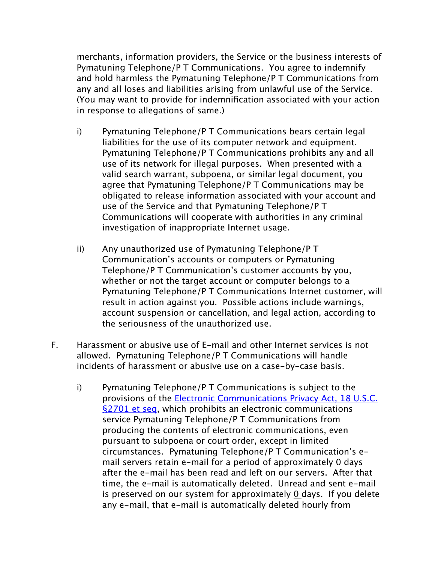merchants, information providers, the Service or the business interests of Pymatuning Telephone/P T Communications. You agree to indemnify and hold harmless the Pymatuning Telephone/P T Communications from any and all loses and liabilities arising from unlawful use of the Service. (You may want to provide for indemnification associated with your action in response to allegations of same.)

- i) Pymatuning Telephone/P T Communications bears certain legal liabilities for the use of its computer network and equipment. Pymatuning Telephone/P T Communications prohibits any and all use of its network for illegal purposes. When presented with a valid search warrant, subpoena, or similar legal document, you agree that Pymatuning Telephone/P T Communications may be obligated to release information associated with your account and use of the Service and that Pymatuning Telephone/P T Communications will cooperate with authorities in any criminal investigation of inappropriate Internet usage.
- ii) Any unauthorized use of Pymatuning Telephone/P T Communication's accounts or computers or Pymatuning Telephone/P T Communication's customer accounts by you, whether or not the target account or computer belongs to a Pymatuning Telephone/P T Communications Internet customer, will result in action against you. Possible actions include warnings, account suspension or cancellation, and legal action, according to the seriousness of the unauthorized use.
- F. Harassment or abusive use of E-mail and other Internet services is not allowed. Pymatuning Telephone/P T Communications will handle incidents of harassment or abusive use on a case-by-case basis.
	- i) Pymatuning Telephone/P T Communications is subject to the provisions of the **Electronic Communications Privacy Act**, 18 U.S.C. [§2701 et seq](http://www4.law.cornell.edu/uscode/18/2701.html), which prohibits an electronic communications service Pymatuning Telephone/P T Communications from producing the contents of electronic communications, even pursuant to subpoena or court order, except in limited circumstances. Pymatuning Telephone/P T Communication's email servers retain e-mail for a period of approximately 0 days after the e-mail has been read and left on our servers. After that time, the e-mail is automatically deleted. Unread and sent e-mail is preserved on our system for approximately  $\theta$  days. If you delete any e-mail, that e-mail is automatically deleted hourly from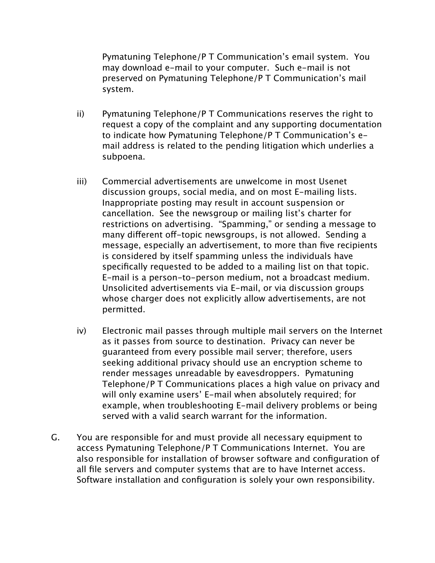Pymatuning Telephone/P T Communication's email system. You may download e-mail to your computer. Such e-mail is not preserved on Pymatuning Telephone/P T Communication's mail system.

- ii) Pymatuning Telephone/P T Communications reserves the right to request a copy of the complaint and any supporting documentation to indicate how Pymatuning Telephone/P T Communication's email address is related to the pending litigation which underlies a subpoena.
- iii) Commercial advertisements are unwelcome in most Usenet discussion groups, social media, and on most E-mailing lists. Inappropriate posting may result in account suspension or cancellation. See the newsgroup or mailing list's charter for restrictions on advertising. "Spamming," or sending a message to many different off-topic newsgroups, is not allowed. Sending a message, especially an advertisement, to more than five recipients is considered by itself spamming unless the individuals have specifically requested to be added to a mailing list on that topic. E-mail is a person-to-person medium, not a broadcast medium. Unsolicited advertisements via E-mail, or via discussion groups whose charger does not explicitly allow advertisements, are not permitted.
- iv) Electronic mail passes through multiple mail servers on the Internet as it passes from source to destination. Privacy can never be guaranteed from every possible mail server; therefore, users seeking additional privacy should use an encryption scheme to render messages unreadable by eavesdroppers. Pymatuning Telephone/P T Communications places a high value on privacy and will only examine users' E-mail when absolutely required; for example, when troubleshooting E-mail delivery problems or being served with a valid search warrant for the information.
- G. You are responsible for and must provide all necessary equipment to access Pymatuning Telephone/P T Communications Internet. You are also responsible for installation of browser software and configuration of all file servers and computer systems that are to have Internet access. Software installation and configuration is solely your own responsibility.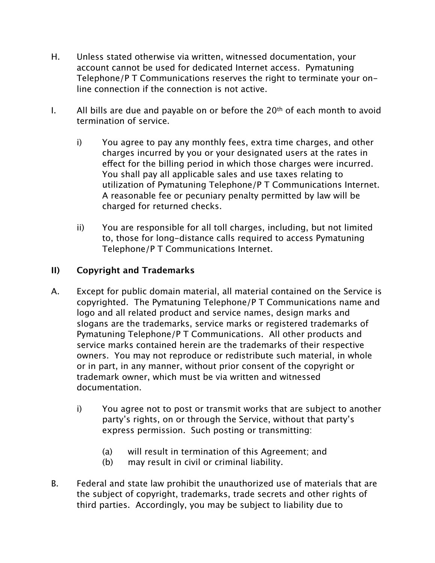- H. Unless stated otherwise via written, witnessed documentation, your account cannot be used for dedicated Internet access. Pymatuning Telephone/P T Communications reserves the right to terminate your online connection if the connection is not active.
- I. All bills are due and payable on or before the 20<sup>th</sup> of each month to avoid termination of service.
	- i) You agree to pay any monthly fees, extra time charges, and other charges incurred by you or your designated users at the rates in effect for the billing period in which those charges were incurred. You shall pay all applicable sales and use taxes relating to utilization of Pymatuning Telephone/P T Communications Internet. A reasonable fee or pecuniary penalty permitted by law will be charged for returned checks.
	- ii) You are responsible for all toll charges, including, but not limited to, those for long-distance calls required to access Pymatuning Telephone/P T Communications Internet.

## **II) Copyright and Trademarks**

- A. Except for public domain material, all material contained on the Service is copyrighted. The Pymatuning Telephone/P T Communications name and logo and all related product and service names, design marks and slogans are the trademarks, service marks or registered trademarks of Pymatuning Telephone/P T Communications. All other products and service marks contained herein are the trademarks of their respective owners. You may not reproduce or redistribute such material, in whole or in part, in any manner, without prior consent of the copyright or trademark owner, which must be via written and witnessed documentation.
	- i) You agree not to post or transmit works that are subject to another party's rights, on or through the Service, without that party's express permission. Such posting or transmitting:
		- (a) will result in termination of this Agreement; and
		- (b) may result in civil or criminal liability.
- B. Federal and state law prohibit the unauthorized use of materials that are the subject of copyright, trademarks, trade secrets and other rights of third parties. Accordingly, you may be subject to liability due to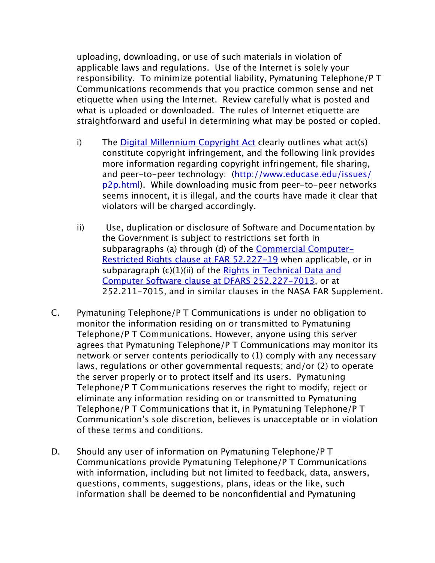uploading, downloading, or use of such materials in violation of applicable laws and regulations. Use of the Internet is solely your responsibility. To minimize potential liability, Pymatuning Telephone/P T Communications recommends that you practice common sense and net etiquette when using the Internet. Review carefully what is posted and what is uploaded or downloaded. The rules of Internet etiquette are straightforward and useful in determining what may be posted or copied.

- i) The [Digital Millennium Copyright Act](http://www.educause.edu/issues/dmca.html) clearly outlines what act(s) constitute copyright infringement, and the following link provides more information regarding copyright infringement, file sharing, and peer-to-peer technology: [\(http://www.educase.edu/issues/](http://www.educase.edu/issues/p2p.html) [p2p.html](http://www.educase.edu/issues/p2p.html)). While downloading music from peer-to-peer networks seems innocent, it is illegal, and the courts have made it clear that violators will be charged accordingly.
- ii) Use, duplication or disclosure of Software and Documentation by the Government is subject to restrictions set forth in subparagraphs (a) through (d) of the **[Commercial Computer-](http://www.arnet.gov/far/current/html/52_227.html#1046887)**[Restricted Rights clause at FAR 52.227-19](http://www.arnet.gov/far/current/html/52_227.html#1046887) when applicable, or in subparagraph (c)(1)(ii) of the Rights in Technical Data and [Computer Software clause at DFARS 252.227-7013](http://farsite.hill.af.mil/reghtml/regs/far2afmcfars/fardfars/dfars/dfars252_227.htm#P300_15683), or at 252.211-7015, and in similar clauses in the NASA FAR Supplement.
- C. Pymatuning Telephone/P T Communications is under no obligation to monitor the information residing on or transmitted to Pymatuning Telephone/P T Communications. However, anyone using this server agrees that Pymatuning Telephone/P T Communications may monitor its network or server contents periodically to (1) comply with any necessary laws, regulations or other governmental requests; and/or (2) to operate the server properly or to protect itself and its users. Pymatuning Telephone/P T Communications reserves the right to modify, reject or eliminate any information residing on or transmitted to Pymatuning Telephone/P T Communications that it, in Pymatuning Telephone/P T Communication's sole discretion, believes is unacceptable or in violation of these terms and conditions.
- D. Should any user of information on Pymatuning Telephone/P T Communications provide Pymatuning Telephone/P T Communications with information, including but not limited to feedback, data, answers, questions, comments, suggestions, plans, ideas or the like, such information shall be deemed to be nonconfidential and Pymatuning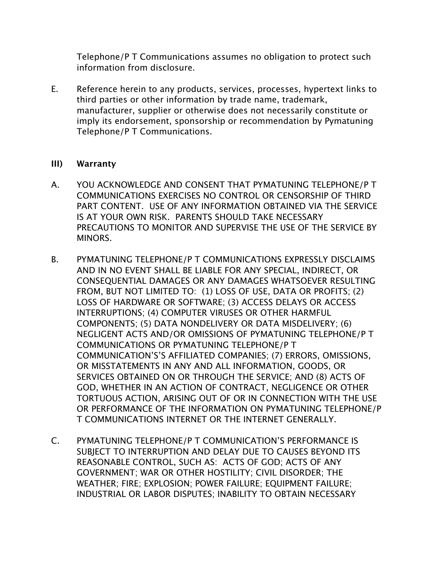Telephone/P T Communications assumes no obligation to protect such information from disclosure.

E. Reference herein to any products, services, processes, hypertext links to third parties or other information by trade name, trademark, manufacturer, supplier or otherwise does not necessarily constitute or imply its endorsement, sponsorship or recommendation by Pymatuning Telephone/P T Communications.

## **III) Warranty**

- A. YOU ACKNOWLEDGE AND CONSENT THAT PYMATUNING TELEPHONE/P T COMMUNICATIONS EXERCISES NO CONTROL OR CENSORSHIP OF THIRD PART CONTENT. USE OF ANY INFORMATION OBTAINED VIA THE SERVICE IS AT YOUR OWN RISK. PARENTS SHOULD TAKE NECESSARY PRECAUTIONS TO MONITOR AND SUPERVISE THE USE OF THE SERVICE BY MINORS.
- B. PYMATUNING TELEPHONE/P T COMMUNICATIONS EXPRESSLY DISCLAIMS AND IN NO EVENT SHALL BE LIABLE FOR ANY SPECIAL, INDIRECT, OR CONSEQUENTIAL DAMAGES OR ANY DAMAGES WHATSOEVER RESULTING FROM, BUT NOT LIMITED TO: (1) LOSS OF USE, DATA OR PROFITS; (2) LOSS OF HARDWARE OR SOFTWARE; (3) ACCESS DELAYS OR ACCESS INTERRUPTIONS; (4) COMPUTER VIRUSES OR OTHER HARMFUL COMPONENTS; (5) DATA NONDELIVERY OR DATA MISDELIVERY; (6) NEGLIGENT ACTS AND/OR OMISSIONS OF PYMATUNING TELEPHONE/P T COMMUNICATIONS OR PYMATUNING TELEPHONE/P T COMMUNICATION'S'S AFFILIATED COMPANIES; (7) ERRORS, OMISSIONS, OR MISSTATEMENTS IN ANY AND ALL INFORMATION, GOODS, OR SERVICES OBTAINED ON OR THROUGH THE SERVICE; AND (8) ACTS OF GOD, WHETHER IN AN ACTION OF CONTRACT, NEGLIGENCE OR OTHER TORTUOUS ACTION, ARISING OUT OF OR IN CONNECTION WITH THE USE OR PERFORMANCE OF THE INFORMATION ON PYMATUNING TELEPHONE/P T COMMUNICATIONS INTERNET OR THE INTERNET GENERALLY.
- C. PYMATUNING TELEPHONE/P T COMMUNICATION'S PERFORMANCE IS SUBJECT TO INTERRUPTION AND DELAY DUE TO CAUSES BEYOND ITS REASONABLE CONTROL, SUCH AS: ACTS OF GOD; ACTS OF ANY GOVERNMENT; WAR OR OTHER HOSTILITY; CIVIL DISORDER; THE WEATHER; FIRE; EXPLOSION; POWER FAILURE; EQUIPMENT FAILURE; INDUSTRIAL OR LABOR DISPUTES; INABILITY TO OBTAIN NECESSARY